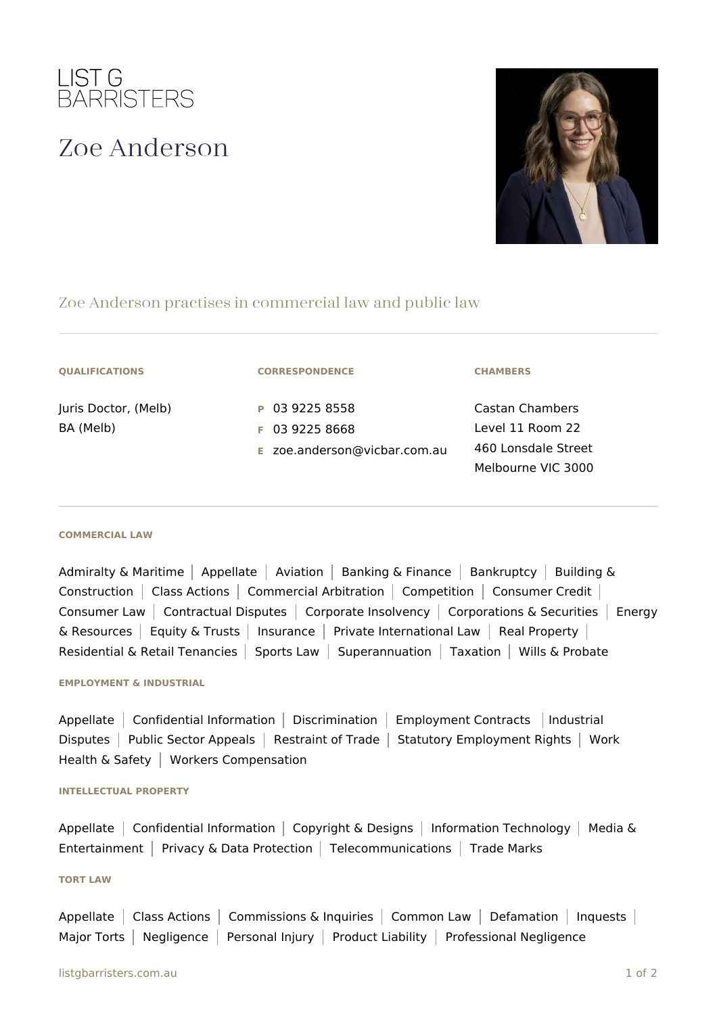

# Zoe Anderson



## Zoe Anderson practises in commercial law and public law

| <b>QUALIFICATIONS</b> |
|-----------------------|
|-----------------------|

Juris Doctor, (Melb) BA (Melb)

**CORRESPONDENCE**

**P** 03 9225 8558 **F** 03 9225 8668

**E** zoe.anderson@vicbar.com.au

**CHAMBERS**

Castan Chambers Level 11 Room 22 460 Lonsdale Street Melbourne VIC 3000

#### **COMMERCIAL LAW**

Admiralty & Maritime | Appellate | Aviation | Banking & Finance | Bankruptcy | Building & Construction | Class Actions | Commercial Arbitration | Competition | Consumer Credit | Consumer Law | Contractual Disputes | Corporate Insolvency | Corporations & Securities | Energy & Resources | Equity & Trusts | Insurance | Private International Law | Real Property | Residential & Retail Tenancies | Sports Law | Superannuation | Taxation | Wills & Probate

#### **EMPLOYMENT & INDUSTRIAL**

Appellate | Confidential Information | Discrimination | Employment Contracts | Industrial Disputes | Public Sector Appeals | Restraint of Trade | Statutory Employment Rights | Work Health & Safety | Workers Compensation

#### **INTELLECTUAL PROPERTY**

Appellate Confidential Information | Copyright & Designs | Information Technology | Media & Entertainment | Privacy & Data Protection | Telecommunications | Trade Marks

### **TORT LAW**

Appellate | Class Actions | Commissions & Inquiries | Common Law | Defamation | Inquests | Major Torts | Negligence | Personal Injury | Product Liability | Professional Negligence